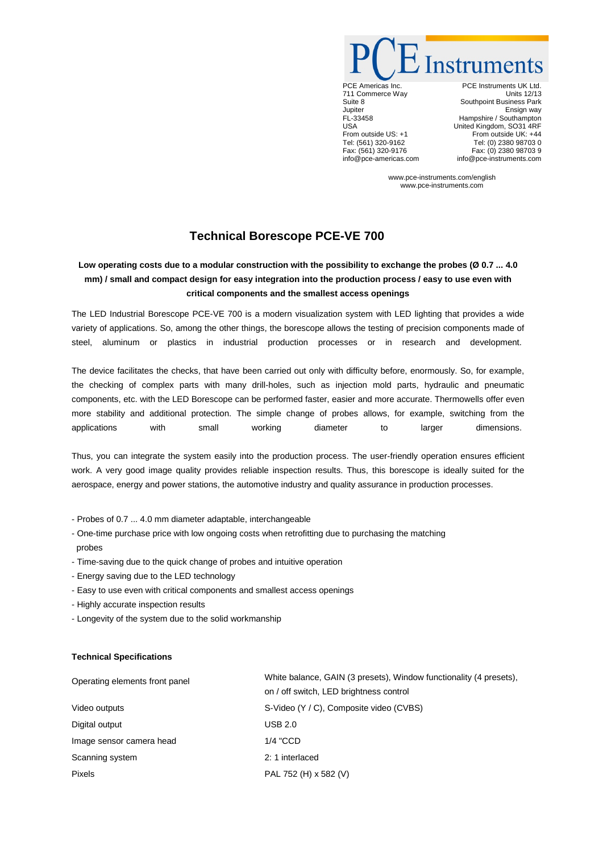Instruments

PCE Americas Inc. 711 Commerce Way Suite 8 Jupiter FL-33458 USA From outside US: +1 Tel: (561) 320-9162 Fax: (561) 320-9176 info@pce-americas.com

PCE Instruments UK Ltd. Units 12/13 Southpoint Business Park Ensign way Hampshire / Southampton United Kingdom, SO31 4RF From outside UK: +44 Tel: (0) 2380 98703 0 Fax: (0) 2380 98703 9 info@pce-instruments.com

www.pce-instruments.com/english www.pce-instruments.com

## **Technical Borescope PCE-VE 700**

## **Low operating costs due to a modular construction with the possibility to exchange the probes (Ø 0.7 ... 4.0 mm) / small and compact design for easy integration into the production process / easy to use even with critical components and the smallest access openings**

The LED Industrial Borescope PCE-VE 700 is a modern visualization system with LED lighting that provides a wide variety of applications. So, among the other things, the borescope allows the testing of precision components made of steel, aluminum or plastics in industrial production processes or in research and development.

The device facilitates the checks, that have been carried out only with difficulty before, enormously. So, for example, the checking of complex parts with many drill-holes, such as injection mold parts, hydraulic and pneumatic components, etc. with the LED Borescope can be performed faster, easier and more accurate. Thermowells offer even more stability and additional protection. The simple change of probes allows, for example, switching from the applications with small working diameter to larger dimensions.

Thus, you can integrate the system easily into the production process. The user-friendly operation ensures efficient work. A very good image quality provides reliable inspection results. Thus, this borescope is ideally suited for the aerospace, energy and power stations, the automotive industry and quality assurance in production processes.

- Probes of 0.7 ... 4.0 mm diameter adaptable, interchangeable
- One-time purchase price with low ongoing costs when retrofitting due to purchasing the matching probes
- Time-saving due to the quick change of probes and intuitive operation
- Energy saving due to the LED technology
- Easy to use even with critical components and smallest access openings
- Highly accurate inspection results
- Longevity of the system due to the solid workmanship

## **Technical Specifications**

| Operating elements front panel | White balance, GAIN (3 presets), Window functionality (4 presets),<br>on / off switch, LED brightness control |
|--------------------------------|---------------------------------------------------------------------------------------------------------------|
| Video outputs                  | S-Video (Y / C), Composite video (CVBS)                                                                       |
| Digital output                 | <b>USB 2.0</b>                                                                                                |
| Image sensor camera head       | $1/4$ "CCD                                                                                                    |
| Scanning system                | 2: 1 interlaced                                                                                               |
| <b>Pixels</b>                  | PAL 752 (H) x 582 (V)                                                                                         |